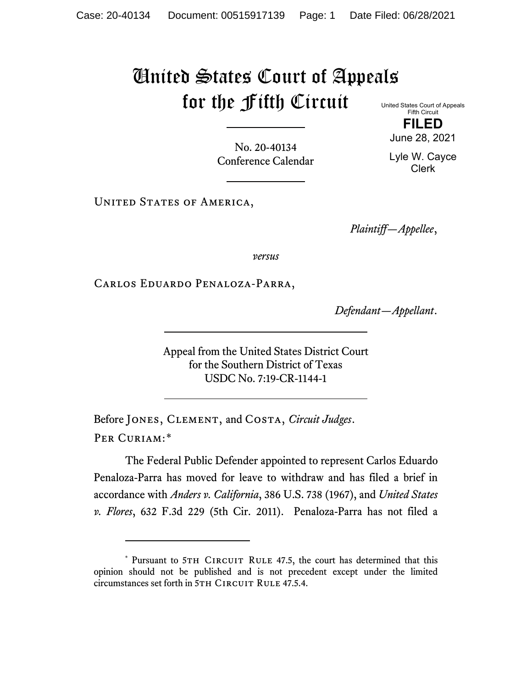## United States Court of Appeals for the Fifth Circuit United States Court of Appeals

Fifth Circuit **FILED**

June 28, 2021

Lyle W. Cayce Clerk

No. 20-40134 Conference Calendar

UNITED STATES OF AMERICA,

*Plaintiff—Appellee*,

*versus*

Carlos Eduardo Penaloza-Parra,

*Defendant—Appellant*.

Appeal from the United States District Court for the Southern District of Texas USDC No. 7:19-CR-1144-1

Before Jones, Clement, and Costa, *Circuit Judges*. Per Curiam:[\\*](#page-0-0)

The Federal Public Defender appointed to represent Carlos Eduardo Penaloza-Parra has moved for leave to withdraw and has filed a brief in accordance with *Anders v. California*, 386 U.S. 738 (1967), and *United States v. Flores*, 632 F.3d 229 (5th Cir. 2011). Penaloza-Parra has not filed a

<span id="page-0-0"></span><sup>\*</sup> Pursuant to 5TH CIRCUIT RULE 47.5, the court has determined that this opinion should not be published and is not precedent except under the limited circumstances set forth in 5TH CIRCUIT RULE 47.5.4.